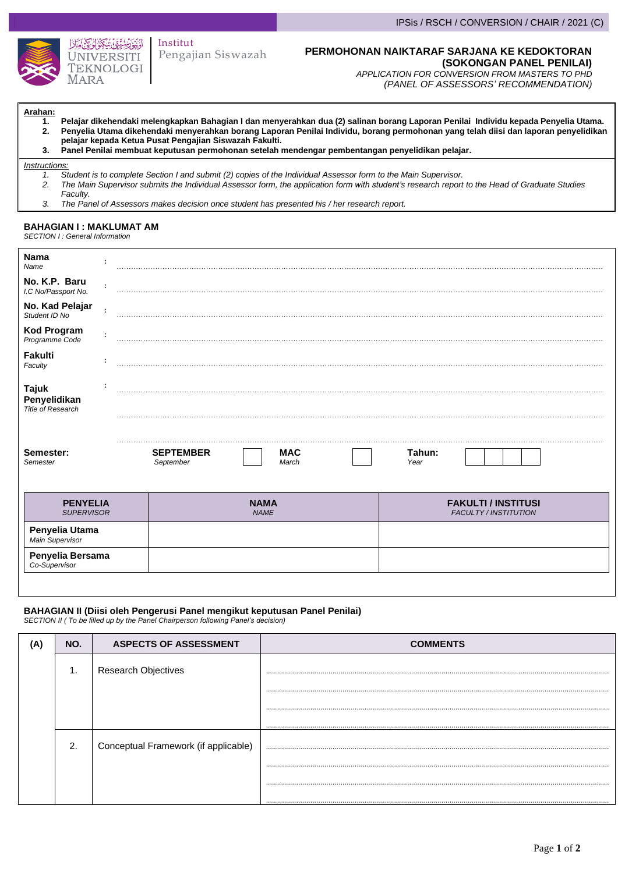

### Pengajian Siswazah Institut

#### **PERMOHONAN NAIKTARAF SARJANA KE KEDOKTORAN (SOKONGAN PANEL PENILAI)**

*APPLICATION FOR CONVERSION FROM MASTERS TO PHD (PANEL OF ASSESSORS' RECOMMENDATION)*

**Arahan:**

- **1. Pelajar dikehendaki melengkapkan Bahagian I dan menyerahkan dua (2) salinan borang Laporan Penilai Individu kepada Penyelia Utama. 2. Penyelia Utama dikehendaki menyerahkan borang Laporan Penilai Individu, borang permohonan yang telah diisi dan laporan penyelidikan pelajar kepada Ketua Pusat Pengajian Siswazah Fakulti.**
	- **3. Panel Penilai membuat keputusan permohonan setelah mendengar pembentangan penyelidikan pelajar.**

#### *Instructions:*

- *1. Student is to complete Section I and submit (2) copies of the Individual Assessor form to the Main Supervisor. 2. The Main Supervisor submits the Individual Assessor form, the application form with student's research report to the Head of Graduate Studies Faculty.*
- *3. The Panel of Assessors makes decision once student has presented his / her research report.*

## **BAHAGIAN I : MAKLUMAT AM**

*SECTION I : General Information*

| Nama<br>Name                                      |   | .                                                    |                                                            |  |
|---------------------------------------------------|---|------------------------------------------------------|------------------------------------------------------------|--|
| No. K.P. Baru<br>I.C No/Passport No.              |   |                                                      |                                                            |  |
| No. Kad Pelajar<br>Student ID No                  | ÷ |                                                      |                                                            |  |
| <b>Kod Program</b><br>Programme Code              | ÷ |                                                      |                                                            |  |
| Fakulti<br>Faculty                                |   |                                                      |                                                            |  |
| <b>Tajuk</b><br>Penyelidikan<br>Title of Research |   |                                                      |                                                            |  |
| Semester:<br>Semester                             |   | <b>MAC</b><br><b>SEPTEMBER</b><br>September<br>March | Tahun:<br>Year                                             |  |
| <b>PENYELIA</b><br><b>SUPERVISOR</b>              |   | <b>NAMA</b><br><b>NAME</b>                           | <b>FAKULTI / INSTITUSI</b><br><b>FACULTY / INSTITUTION</b> |  |
| Penyelia Utama<br>Main Supervisor                 |   |                                                      |                                                            |  |
| Penyelia Bersama<br>Co-Supervisor                 |   |                                                      |                                                            |  |

# **BAHAGIAN II (Diisi oleh Pengerusi Panel mengikut keputusan Panel Penilai)**

*SECTION II ( To be filled up by the Panel Chairperson following Panel's decision)*

| NO. | <b>ASPECTS OF ASSESSMENT</b>         | <b>COMMENTS</b> |  |  |  |
|-----|--------------------------------------|-----------------|--|--|--|
| 1.  | <b>Research Objectives</b>           |                 |  |  |  |
|     |                                      |                 |  |  |  |
|     |                                      |                 |  |  |  |
|     |                                      |                 |  |  |  |
| 2.  | Conceptual Framework (if applicable) |                 |  |  |  |
|     |                                      |                 |  |  |  |
|     |                                      |                 |  |  |  |
|     |                                      |                 |  |  |  |